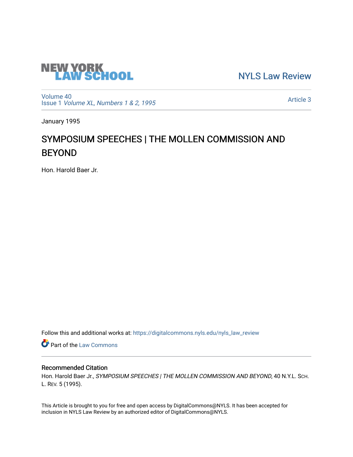

[NYLS Law Review](https://digitalcommons.nyls.edu/nyls_law_review) 

[Volume 40](https://digitalcommons.nyls.edu/nyls_law_review/vol40) Issue 1 [Volume XL, Numbers 1 & 2, 1995](https://digitalcommons.nyls.edu/nyls_law_review/vol40/iss1)

[Article 3](https://digitalcommons.nyls.edu/nyls_law_review/vol40/iss1/3) 

January 1995

# SYMPOSIUM SPEECHES | THE MOLLEN COMMISSION AND BEYOND

Hon. Harold Baer Jr.

Follow this and additional works at: [https://digitalcommons.nyls.edu/nyls\\_law\\_review](https://digitalcommons.nyls.edu/nyls_law_review?utm_source=digitalcommons.nyls.edu%2Fnyls_law_review%2Fvol40%2Fiss1%2F3&utm_medium=PDF&utm_campaign=PDFCoverPages) 

**Part of the [Law Commons](https://network.bepress.com/hgg/discipline/578?utm_source=digitalcommons.nyls.edu%2Fnyls_law_review%2Fvol40%2Fiss1%2F3&utm_medium=PDF&utm_campaign=PDFCoverPages)** 

# Recommended Citation

Hon. Harold Baer Jr., SYMPOSIUM SPEECHES | THE MOLLEN COMMISSION AND BEYOND, 40 N.Y.L. SCH. L. REV. 5 (1995).

This Article is brought to you for free and open access by DigitalCommons@NYLS. It has been accepted for inclusion in NYLS Law Review by an authorized editor of DigitalCommons@NYLS.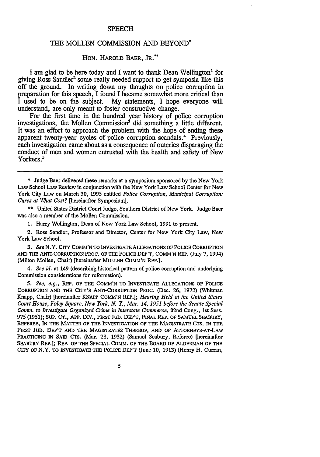#### **SPEECH**

## THE **MOLLEN** COMMISSION **AND** BEYOND\*

### HON. HAROLD BAER, **JR.\*\***

I am glad to be here today and I want to thank Dean Wellington' for giving Ross Sandler<sup>2</sup> some really needed support to get symposia like this off the ground. In writing down my thoughts on police corruption in preparation for this speech, I found I became somewhat more critical than I used to be on the subject. My statements. I hope everyone will My statements, I hope everyone will understand, are only meant to foster constructive change.

For the first time in the hundred year history of police corruption investigations, the Mollen Commission<sup>3</sup> did something a little different. It was an effort to approach the problem with the hope of ending these apparent twenty-year cycles of police corruption scandals.4 Previously, each investigation came about as a consequence of outcries disparaging the conduct of men and women entrusted with the health and safety of New Yorkers.<sup>5</sup>

\*\* United States District Court Judge, Southern District of New York. Judge Baer was also a member of the Mollen Commission.

1. Harry Wellington, Dean of New York Law School, 1991 to present.

2. Ross Sandier, Professor and Director, Center for New York City Law, New York Law School.

*3. See* N.Y. CITY **COM'N TO** INVESTIGATE **ALLEGATIONS** *OF* POLICE CORRUFrION AND THE ANTi-CORRUprIoN PROC. OF **THE POLICE** DEP'T, **COMM'N** REP. (July 7, 1994) (Milton Mollen, Chair) [hereinafter **MOLLEN** COMM'N REP.].

*4. See id.* at 149 (describing historical pattern of police corruption and underlying Commission considerations for reformation).

*5. See, e.g.,* REP. OF THE COMM'N TO INVESTIGATE ALLEGATIONS OF POLICE CORRUFrION **AND** THE CrrY's ANTI-CORRUPTION PROC. **(Dec.** 26, 1972) (Whitman Knapp, Chair) [hereinafter **KNAPP COMM'N** REP.]; *Hearing Held at the United States Court House, Foley Square, New York, N. Y., Mar. 14, 1951 before the Senate Special Comm. to Investigate Organized Crime in Interstate Commerce,* 82nd Cong., 1st Sess. 975 (1951); **SUP.** CT., APP. **Div.,** FIRST **JUD.** DEP'T, FINAL REP. OF SAMUEL SEABURY, REFEREE, IN THE MATTER OF THE INVESTIGATION OF THE MAGISTRATE CTS. IN THE FIRST Jun. DEP'T AND **THE** MAGISTRATES THEEOF, **AND** OF ATTORNEYS-AT-LAW PRACTICING IN SAID CTS. (Mar. 28, 1932) (Samuel Seabury, Referee) [hereinafter SEABURY REP.]; REP. OF THE **SPECIAL** COMM. OF THE BOARD OF ALDERMAN OF THE CITY OF N.Y. TO INVESTIGATE THE POLICE DEP'T (June **10, 1913)** (Henry H. Curran,

5

<sup>\*</sup> Judge Baer delivered these remarks at a symposium sponsored by the New York Law School Law Review in conjunction with the New York Law School Center for New York City Law on March 30, 1995 entitled *Police Corruption, Municipal Corruption: Cures at What Cost?* [hereinafter Symposium].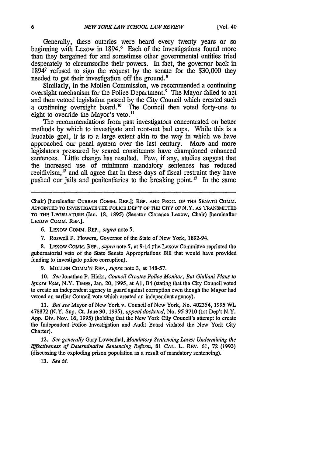Generally, these outcries were heard every twenty years or so beginning with Lexow in 1894.<sup>6</sup> Each of the investigations found more than they bargained for and sometimes other governmental entities tried desperately to circumscribe their powers. In fact, the governor back in 18941 refused to sign the request by the senate for the \$30,000 they needed to get their investigation off the ground.<sup>8</sup>

Similarly, in the Mollen Commission, we recommended a continuing oversight mechanism for the Police Department.<sup>9</sup> The Mayor failed to act and then vetoed legislation passed by the City Council which created such a continuing oversight board.<sup>10</sup> The Council then voted forty-one to eight to override the Mayor's veto.<sup>11</sup>

The recommendations from past investigators concentrated on better methods by which to investigate and root-out bad cops. While this is a laudable goal, it is to a large extent akin to the way in which we have approached our penal system over the last century. More and more legislators pressured by scared constituents have championed enhanced sentences. Little change has resulted. Few, if any, studies suggest that the increased use of minimum mandatory sentences has reduced recidivism,<sup>12</sup> and all agree that in these days of fiscal restraint they have pushed our jails and penitentiaries to the breaking point.<sup>13</sup> In the same

Chair) [hereinafter CURRAN **COM.** REP.]; **REP. AND PROC. OF THE SENATE COMM. APPOINTED TO INVESTIOATE THE POLICE DEP'T OF THE CITY OF** N.Y. **AS TRANSiffTED** TO **THE** LEGISLATURE (Jan. **18,** 1895) (Senator Clarence Lexow, Chair) [hereinafter LEXow COMM. **REP.].**

- 6. LExOW COMM. REP., *supra* note **5.**
- 7. Roswell P. Flowers, Governor of the State of New York, 1892-94.

8. LEXoW COMM. REP., *supra* note 5, at 9-14 (the Lexow Committee reprinted the gubernatorial veto of the State Senate Appropriations Bill that would have provided funding to investigate police corruption).

9. MOLLEN COmm'N REP., *supra* note 3, at 148-57.

**10.** *See* Jonathan P. Hicks, *Council Creates Police Monitor, But Giuliani Plans to Ignore Vote,* N.Y. TMEs, Jan. 20, 1995, at **Al,** B4 (stating that the City Council voted to create an independent agency to guard against corruption even though the Mayor had vetoed an earlier Council vote which created an independent agency).

11. *But see* Mayor of New York v. Council of New York, No. 402354, 1995 WL 478872 (N.Y. Sup. Ct. June 30, 1995), *appeal docketed,* No. 95-3710 (1st Dep't N.Y. App. Div. Nov. 16, 1995) (holding that the New York City Council's attempt to create the Independent Police Investigation and Audit Board violated the New York City Charter).

12. *See generally* Gary Lowenthal, *Mandatory Sentencing Laws: Undermining the Effectiveness of Determinative Sentencing Reform,* <sup>81</sup>**CAL.** L. REV. 61, **72** (1993) (discussing the exploding prison population as a result of mandatory sentencing).

*13. See id.*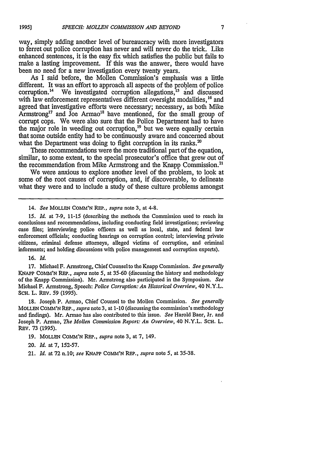way, simply adding another level of bureaucracy with more investigators to ferret out police corruption has never and will never do the trick. Like enhanced sentences, it is the easy fix which satisfies the public but fails to make a lasting improvement. If this was the answer, there would have been no need for a new investigation every twenty years.

As I said before, the Mollen Commission's emphasis was a little different. It was an effort to approach all aspects of the problem of police corruption.<sup>14</sup> We investigated corruption allegations,<sup>15</sup> and discussed with law enforcement representatives different oversight modalities, <sup>16</sup> and agreed that investigative efforts were necessary; necessary, as both Mike  $Armstrong<sup>17</sup>$  and Joe Armao<sup>18</sup> have mentioned, for the small group of corrupt cops. We were also sure that the Police Department had to have the major role in weeding out corruption,<sup>19</sup> but we were equally certain that some outside entity had to be continuously aware and concerned about what the Department was doing to fight corruption in its ranks. $20$ 

These recommendations were the more traditional part of the equation, similar, to some extent, to the special prosecutor's office that grew out of the recommendation from Mike Armstrong and the Knapp Commission.<sup>21</sup>

We were anxious to explore another level of the problem, to look at some of the root causes of corruption, and, if discoverable, to delineate what they were and to include a study of these culture problems amongst

14. *See* MOLLEN **COMM'N REP.,** *supra* note 3, at 4-8.

*15. Id.* at 7-9, 11-15 (describing the methods the Commission used to reach its conclusions and recommendations, including conducting field investigations; reviewing case files; interviewing police officers as well as local, state, and federal law enforcement officials; conducting hearings on corruption control; interviewing private citizens, criminal defense attorneys, alleged victims of corruption, and criminal informants; and holding discussions with police management and corruption experts).

16. *Id.*

17. Michael F. Armstrong, Chief Counselto the Knapp Commission. *See generally* KNAPP **CONIM'N** REP., *supra* note 5, at 35-60 (discussing the history and methodology of the Knapp Commission). Mr. Armstrong also participated in the Symposium. *See* Michael F. Armstrong, Speech: *Police Corruption: An Historical Overview,* 40 N.Y.L. ScH. L. REv. 59 (1995).

18. Joseph P. Armao, Chief Counsel to the Mollen Commission. *See generally* MOLLEN COMM'N *REP., supra* note 3, at 1-10 (discussing the commission's methodology and findings). Mr. Armao has also contributed to this issue. *See* Harold Baer, Jr. and Joseph P. Armao, *The Mollen Commission Report: An Overview,* 40 N.Y.L. SCH. L. REV. **73** (1995).

19. **MOLLEN COMM'N** REp., *supra* note 3, at 7, 149.

20. *Id.* at 7, 152-57.

21. *Id.* at 72 n.10; *see* KNAPP COMM'N REP., *supra* note 5, at 35-38.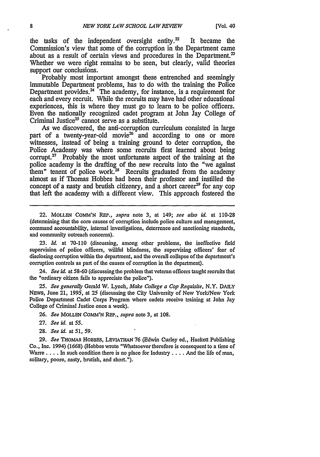the tasks of the independent oversight entity.<sup>22</sup> It became the Commission's view that some of the corruption in the Department came about as a result of certain views and procedures in the Department.<sup>23</sup> Whether we were right remains to be seen, but clearly, valid theories support our conclusions.

Probably most important amongst these entrenched and seemingly immutable Department problems, has to do with the training the Police Department provides. $24$  The academy, for instance, is a requirement for each and every recruit. While the recruits may have had other educational experiences, this is where they must go to learn to be police officers. Even the nationally recognized cadet program at John Jay College of Criminal Justice<sup>25</sup> cannot serve as a substitute.

As we discovered, the anti-corruption curriculum consisted in large part of a twenty-year-old movie<sup>26</sup> and according to one or more witnesses, instead of being a training ground to deter corruption, the Police Academy was where some recruits first learned about being corrupt. $27$  Probably the most unfortunate aspect of the training at the police academy is the drafting of the new recruits into the "we against them" tenent of police work.<sup>28</sup> Recruits graduated from the academy almost as if Thomas Hobbes had been their professor and instilled the concept of a nasty and brutish citizenry, and a short career<sup>29</sup> for any cop that left the academy with a different view. This approach fostered the

22. MOLLEN COMM'N REP., supra note 3, at 149; *see also id.* at 110-28 (determining that the core causes of corruption include police culture and management, command accountability, internal investigations, deterrence and sanctioning standards, and community outreach concerns).

*23. Id.* at 70-110 (discussing, among other problems, the ineffective field supervision of police officers, willful blindness, the supervising officers' fear of disclosing corruption within the department, and the overall collapse of the department's corruption controls as part of the causes of corruption in the department).

24. *See id.* at **58-60** (discussing the problem that veteran officers taught recruits that the "ordinary citizen fails to appreciate the police").

*25. See generally* Gerald W. Lynch, *Make College a Cop Requisite,* N.Y. DAILY NEWS, June 21, 1995, at 25 (discussing the City University of New York/New York Police Department Cadet Corps Program where cadets receive training at John Jay College of Criminal Justice once a week).

26. *See* MOLLEN COMM'N REP., *supra* note 3, at 108.

- 27. *See id.* at **55.**
- **28.** *See id.* at **51,** *59.*

29. *See* THOMAS HOBBES, LEVIATHAN 76 (Edwin Curley ed., Hackett Publishing Co., Inc. 1994) (1668) (Hobbes wrote "Whatsoever therefore is consequent to a time of Warre **....** In such condition there is no place for Industry .... And the **life** of man, solitary, poore, nasty, brutish, and short.").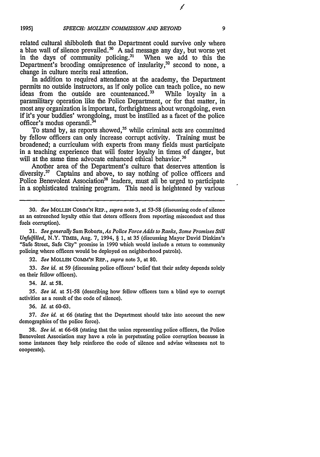∕

related cultural shibboleth that the Department could survive only where a blue wall of silence prevailed.<sup>30</sup> A sad message any day, but worse yet in the days of community policing.<sup>31</sup> When we add to this the in the days of community policing. $31$ Department's brooding omnipresence of insularity, $32$  second to none, a change in culture merits real attention.

In addition to required attendance at the academy, the Department permits no outside instructors, as if only police can teach police, no new ideas from the outside are countenanced.<sup>33</sup> While loyalty in a paramilitary operation like the Police Department, or for that matter, in most any organization is important, forthrightness about wrongdoing, even if it's your buddies' wrongdoing, must be instilled as a facet of the police officer's modus operandi.

To stand by, as reports showed, $35$  while criminal acts are committed by fellow officers can only increase corrupt activity. Training must be broadened; a curriculum with experts from many fields must participate in a teaching experience that will foster loyalty in times of danger, but will at the same time advocate enhanced ethical behavior.<sup>36</sup>

Another area of the Department's culture that deserves attention is diversity. $37$  Captains and above, to say nothing of police officers and Police Benevolent Association<sup>38</sup> leaders, must all be urged to participate in a sophisticated training program. This need is heightened by various

*31. See generally* Sam Roberts, *As Police Force Adds to Ranks, Some Promises Still Unfufilled,* N.Y. TIMES, Aug. 7, 1994, § 1, at 35 (discussing Mayor David Dinkins's "Safe Street, Safe City" promise in 1990 which would include a return to community policing where officers would be deployed on neighborhood patrols).

32. *See* MOLLEN **COMV'N REP.,** *supra* note 3, at **80.**

*33. See id.* at 59 (discussing police officers' belief that their safety depends solely on their fellow officers).

34. *Id.* at 58.

*35. See id.* at 51-58 (describing how fellow officers turn a blind eye to corrupt activities as a result of the code of silence).

36. *ld.* at 60-63.

**37.** *See id.* at 66 (stating that the Department should take into account the new demographics of the police force).

38. *See id.* at 66-68 (stating that the union representing police officers, the Police Benevolent Association may have a role in perpetuating police corruption because in some instances they help reinforce the code of silence and advise witnesses not to cooperate).

<sup>30.</sup> *See* MOLLEN **COMM'N** REP., *supra* note 3, at 53-58 (discussing code of silence as an entrenched loyalty ethic that deters officers from reporting misconduct and thus fuels corruption).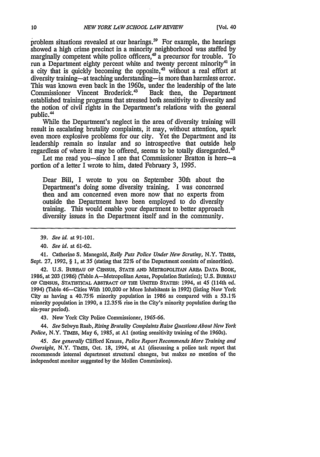problem situations revealed at our hearings.<sup>39</sup> For example, the hearings showed a high crime precinct in a minority neighborhood was staffed by marginally competent white police officers, $4^{\circ}$  a precursor for trouble. To run a Department eighty percent white and twenty percent minority<sup>41</sup> in a city that is quickly becoming the opposite,<sup>42</sup> without a real effort at diversity training—at teaching understanding—is more than harmless error. This was known even back in the 1960s, under the leadership of the late<br>Commissioner Vincent Broderick.<sup>43</sup> Back then, the Department Commissioner Vincent Broderick.<sup>43</sup> established training programs that stressed both sensitivity to diversity and the notion of civil rights in the Department's relations with the general public.<sup>44</sup>

While the Department's neglect in the area of diversity training will result in escalating brutality complaints, it may, without attention, spark even more explosive problems for our city. Yet the Department and its leadership remain so insular and so introspective that outside help regardless of where it may be offered, seems to be totally disregarded.<sup>45</sup>

Let me read you—since I see that Commissioner Bratton is here—a portion of a letter I wrote to him, dated February 3, 1995.

Dear Bill, I wrote to you on September 30th about the Department's doing some diversity training. I was concerned then and am concerned even more now that no experts from outside the Department have been employed to do diversity training. This would enable your department to better approach diversity issues in the Department itself and in the community.

41. Catherine S. Manegold, *Rally Puts Police Under New Scrutiny,* N.Y. **TIMIES,** Sept. **27,** 1992, § 1, at 35 (stating that 22% of the Department consists of minorities).

42. **U.S.** BUREAU OF CENSUS, **STATE AND** METROPOLITAN AREA DATA BOOK, 1986, at **203** (1986) (Table A-Metropolitan Areas, Population Statistics); **U.S.** BUREAU *OF* **CENSUS, STATISTICAL** ABSTRACT OF THE UNITED STATES: 1994, at 45 (114th **ed.** 1994) (Table 46-Cities With **100,000** or More Inhabitants in **1992)** (listing New York City as having a 40.75% minority population in 1986 as compared with a *53.1%* minority population in 1990, a 12.35% rise in the City's minority population during the six-year period).

43. New York City Police Commissioner, **1965-66.**

*44. See* Selwyn Raab, *Rising Brutality Complaints Raise Questions About New York Police, N.Y. TIMES, May 6, 1985, at A1 (noting sensitivity training of the 1960s).* 

*45. See generally* Clifford Krauss, *Police Report Recommends More Training and Oversight,* N.Y. TIMEs, Oct. 18, 1994, at **Al** (discussing a police task report that recommends internal department structural changes, but makes no mention of the independent monitor suggested by the Mollen Commission).

<sup>39.</sup> *See id.* at 91-101.

<sup>40.</sup> *See id.* at 61-62.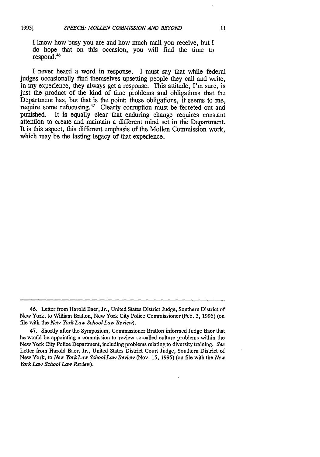I know how busy you are and how much mail you receive, but I do hope that on this occasion, you will find the time to respond. <sup>46</sup>

I never heard a word in response. I must say that while federal judges occasionally find themselves upsetting people they call and write, in my experience, they always get a response. This attitude, I'm sure, is just the product of the kind of time problems and obligations that the Department has, but that is the point: those obligations, it seems to me, require some refocusing.<sup>47</sup> Clearly corruption must be ferreted out and punished. It is equally clear that enduring change requires constant attention to create and maintain a different mind set in the Department. It is this aspect, this different emphasis of the Mollen Commission work, which may be the lasting legacy of that experience.

<sup>46.</sup> Letter from Harold Baer, Jr., United States District Judge, Southern District of New York, to William Bratton, New York City Police Commissioner (Feb. 3, 1995) (on file with the *New York Law School Law Review).*

<sup>47.</sup> Shortly after the Symposium, Commissioner Bratton informed Judge Baer that he would be appointing a commission to review so-called culture problems within the New York City Police Department, including problems relating to diversity training. *See* Letter from Harold Baer, Jr., United States District Court Judge, Southern District of New York, to *New York Law School Law Review* (Nov. 15, 1995) (on file with the *New York Law School Law Review).*